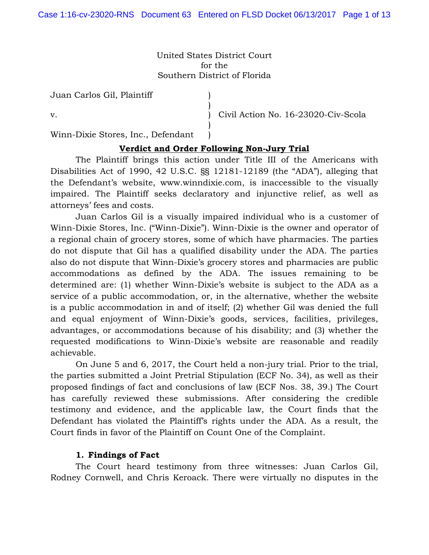United States District Court for the Southern District of Florida

> ) ) ) ) )

Juan Carlos Gil, Plaintiff

v.

Civil Action No. 16-23020-Civ-Scola

Winn-Dixie Stores, Inc., Defendant

## **Verdict and Order Following Non-Jury Trial**

The Plaintiff brings this action under Title III of the Americans with Disabilities Act of 1990, 42 U.S.C. §§ 12181-12189 (the "ADA"), alleging that the Defendant's website, www.winndixie.com, is inaccessible to the visually impaired. The Plaintiff seeks declaratory and injunctive relief, as well as attorneys' fees and costs.

Juan Carlos Gil is a visually impaired individual who is a customer of Winn-Dixie Stores, Inc. ("Winn-Dixie"). Winn-Dixie is the owner and operator of a regional chain of grocery stores, some of which have pharmacies. The parties do not dispute that Gil has a qualified disability under the ADA. The parties also do not dispute that Winn-Dixie's grocery stores and pharmacies are public accommodations as defined by the ADA. The issues remaining to be determined are: (1) whether Winn-Dixie's website is subject to the ADA as a service of a public accommodation, or, in the alternative, whether the website is a public accommodation in and of itself; (2) whether Gil was denied the full and equal enjoyment of Winn-Dixie's goods, services, facilities, privileges, advantages, or accommodations because of his disability; and (3) whether the requested modifications to Winn-Dixie's website are reasonable and readily achievable.

 On June 5 and 6, 2017, the Court held a non-jury trial. Prior to the trial, the parties submitted a Joint Pretrial Stipulation (ECF No. 34), as well as their proposed findings of fact and conclusions of law (ECF Nos. 38, 39.) The Court has carefully reviewed these submissions. After considering the credible testimony and evidence, and the applicable law, the Court finds that the Defendant has violated the Plaintiff's rights under the ADA. As a result, the Court finds in favor of the Plaintiff on Count One of the Complaint.

## **1. Findings of Fact**

The Court heard testimony from three witnesses: Juan Carlos Gil, Rodney Cornwell, and Chris Keroack. There were virtually no disputes in the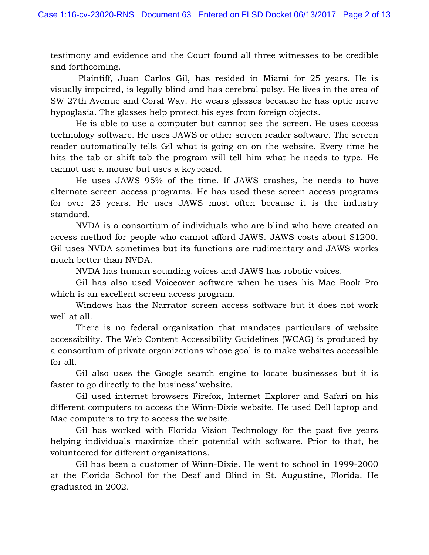testimony and evidence and the Court found all three witnesses to be credible and forthcoming.

 Plaintiff, Juan Carlos Gil, has resided in Miami for 25 years. He is visually impaired, is legally blind and has cerebral palsy. He lives in the area of SW 27th Avenue and Coral Way. He wears glasses because he has optic nerve hypoglasia. The glasses help protect his eyes from foreign objects.

He is able to use a computer but cannot see the screen. He uses access technology software. He uses JAWS or other screen reader software. The screen reader automatically tells Gil what is going on on the website. Every time he hits the tab or shift tab the program will tell him what he needs to type. He cannot use a mouse but uses a keyboard.

He uses JAWS 95% of the time. If JAWS crashes, he needs to have alternate screen access programs. He has used these screen access programs for over 25 years. He uses JAWS most often because it is the industry standard.

NVDA is a consortium of individuals who are blind who have created an access method for people who cannot afford JAWS. JAWS costs about \$1200. Gil uses NVDA sometimes but its functions are rudimentary and JAWS works much better than NVDA.

NVDA has human sounding voices and JAWS has robotic voices.

Gil has also used Voiceover software when he uses his Mac Book Pro which is an excellent screen access program.

Windows has the Narrator screen access software but it does not work well at all.

There is no federal organization that mandates particulars of website accessibility. The Web Content Accessibility Guidelines (WCAG) is produced by a consortium of private organizations whose goal is to make websites accessible for all.

Gil also uses the Google search engine to locate businesses but it is faster to go directly to the business' website.

Gil used internet browsers Firefox, Internet Explorer and Safari on his different computers to access the Winn-Dixie website. He used Dell laptop and Mac computers to try to access the website.

Gil has worked with Florida Vision Technology for the past five years helping individuals maximize their potential with software. Prior to that, he volunteered for different organizations.

Gil has been a customer of Winn-Dixie. He went to school in 1999-2000 at the Florida School for the Deaf and Blind in St. Augustine, Florida. He graduated in 2002.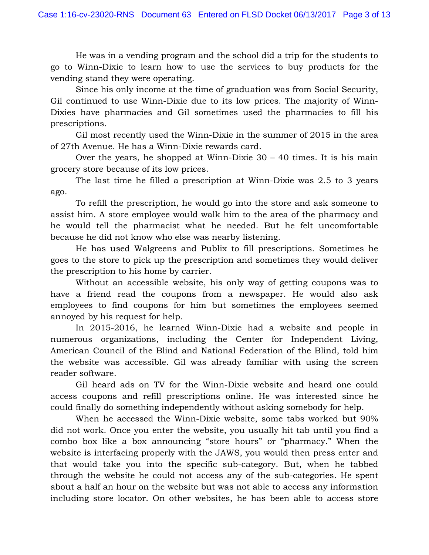He was in a vending program and the school did a trip for the students to go to Winn-Dixie to learn how to use the services to buy products for the vending stand they were operating.

Since his only income at the time of graduation was from Social Security, Gil continued to use Winn-Dixie due to its low prices. The majority of Winn-Dixies have pharmacies and Gil sometimes used the pharmacies to fill his prescriptions.

Gil most recently used the Winn-Dixie in the summer of 2015 in the area of 27th Avenue. He has a Winn-Dixie rewards card.

Over the years, he shopped at Winn-Dixie  $30 - 40$  times. It is his main grocery store because of its low prices.

The last time he filled a prescription at Winn-Dixie was 2.5 to 3 years ago.

To refill the prescription, he would go into the store and ask someone to assist him. A store employee would walk him to the area of the pharmacy and he would tell the pharmacist what he needed. But he felt uncomfortable because he did not know who else was nearby listening.

He has used Walgreens and Publix to fill prescriptions. Sometimes he goes to the store to pick up the prescription and sometimes they would deliver the prescription to his home by carrier.

Without an accessible website, his only way of getting coupons was to have a friend read the coupons from a newspaper. He would also ask employees to find coupons for him but sometimes the employees seemed annoyed by his request for help.

In 2015-2016, he learned Winn-Dixie had a website and people in numerous organizations, including the Center for Independent Living, American Council of the Blind and National Federation of the Blind, told him the website was accessible. Gil was already familiar with using the screen reader software.

Gil heard ads on TV for the Winn-Dixie website and heard one could access coupons and refill prescriptions online. He was interested since he could finally do something independently without asking somebody for help.

When he accessed the Winn-Dixie website, some tabs worked but 90% did not work. Once you enter the website, you usually hit tab until you find a combo box like a box announcing "store hours" or "pharmacy." When the website is interfacing properly with the JAWS, you would then press enter and that would take you into the specific sub-category. But, when he tabbed through the website he could not access any of the sub-categories. He spent about a half an hour on the website but was not able to access any information including store locator. On other websites, he has been able to access store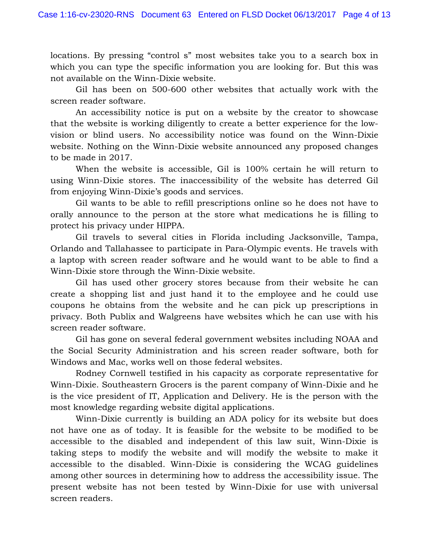locations. By pressing "control s" most websites take you to a search box in which you can type the specific information you are looking for. But this was not available on the Winn-Dixie website.

Gil has been on 500-600 other websites that actually work with the screen reader software.

An accessibility notice is put on a website by the creator to showcase that the website is working diligently to create a better experience for the lowvision or blind users. No accessibility notice was found on the Winn-Dixie website. Nothing on the Winn-Dixie website announced any proposed changes to be made in 2017.

When the website is accessible, Gil is 100% certain he will return to using Winn-Dixie stores. The inaccessibility of the website has deterred Gil from enjoying Winn-Dixie's goods and services.

Gil wants to be able to refill prescriptions online so he does not have to orally announce to the person at the store what medications he is filling to protect his privacy under HIPPA.

Gil travels to several cities in Florida including Jacksonville, Tampa, Orlando and Tallahassee to participate in Para-Olympic events. He travels with a laptop with screen reader software and he would want to be able to find a Winn-Dixie store through the Winn-Dixie website.

Gil has used other grocery stores because from their website he can create a shopping list and just hand it to the employee and he could use coupons he obtains from the website and he can pick up prescriptions in privacy. Both Publix and Walgreens have websites which he can use with his screen reader software.

Gil has gone on several federal government websites including NOAA and the Social Security Administration and his screen reader software, both for Windows and Mac, works well on those federal websites.

Rodney Cornwell testified in his capacity as corporate representative for Winn-Dixie. Southeastern Grocers is the parent company of Winn-Dixie and he is the vice president of IT, Application and Delivery. He is the person with the most knowledge regarding website digital applications.

Winn-Dixie currently is building an ADA policy for its website but does not have one as of today. It is feasible for the website to be modified to be accessible to the disabled and independent of this law suit, Winn-Dixie is taking steps to modify the website and will modify the website to make it accessible to the disabled. Winn-Dixie is considering the WCAG guidelines among other sources in determining how to address the accessibility issue. The present website has not been tested by Winn-Dixie for use with universal screen readers.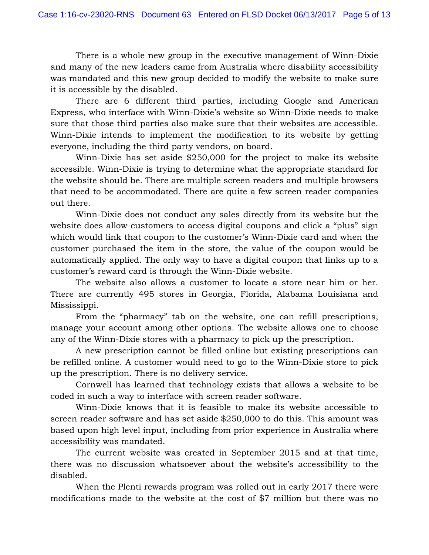There is a whole new group in the executive management of Winn-Dixie and many of the new leaders came from Australia where disability accessibility was mandated and this new group decided to modify the website to make sure it is accessible by the disabled.

There are 6 different third parties, including Google and American Express, who interface with Winn-Dixie's website so Winn-Dixie needs to make sure that those third parties also make sure that their websites are accessible. Winn-Dixie intends to implement the modification to its website by getting everyone, including the third party vendors, on board.

Winn-Dixie has set aside \$250,000 for the project to make its website accessible. Winn-Dixie is trying to determine what the appropriate standard for the website should be. There are multiple screen readers and multiple browsers that need to be accommodated. There are quite a few screen reader companies out there.

Winn-Dixie does not conduct any sales directly from its website but the website does allow customers to access digital coupons and click a "plus" sign which would link that coupon to the customer's Winn-Dixie card and when the customer purchased the item in the store, the value of the coupon would be automatically applied. The only way to have a digital coupon that links up to a customer's reward card is through the Winn-Dixie website.

The website also allows a customer to locate a store near him or her. There are currently 495 stores in Georgia, Florida, Alabama Louisiana and Mississippi.

From the "pharmacy" tab on the website, one can refill prescriptions, manage your account among other options. The website allows one to choose any of the Winn-Dixie stores with a pharmacy to pick up the prescription.

A new prescription cannot be filled online but existing prescriptions can be refilled online. A customer would need to go to the Winn-Dixie store to pick up the prescription. There is no delivery service.

Cornwell has learned that technology exists that allows a website to be coded in such a way to interface with screen reader software.

Winn-Dixie knows that it is feasible to make its website accessible to screen reader software and has set aside \$250,000 to do this. This amount was based upon high level input, including from prior experience in Australia where accessibility was mandated.

The current website was created in September 2015 and at that time, there was no discussion whatsoever about the website's accessibility to the disabled.

When the Plenti rewards program was rolled out in early 2017 there were modifications made to the website at the cost of \$7 million but there was no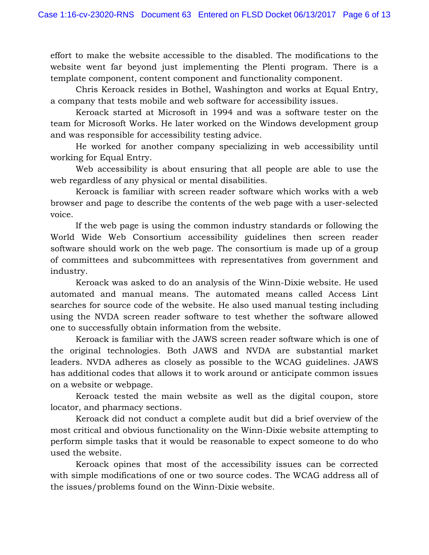effort to make the website accessible to the disabled. The modifications to the website went far beyond just implementing the Plenti program. There is a template component, content component and functionality component.

Chris Keroack resides in Bothel, Washington and works at Equal Entry, a company that tests mobile and web software for accessibility issues.

Keroack started at Microsoft in 1994 and was a software tester on the team for Microsoft Works. He later worked on the Windows development group and was responsible for accessibility testing advice.

He worked for another company specializing in web accessibility until working for Equal Entry.

Web accessibility is about ensuring that all people are able to use the web regardless of any physical or mental disabilities.

Keroack is familiar with screen reader software which works with a web browser and page to describe the contents of the web page with a user-selected voice.

If the web page is using the common industry standards or following the World Wide Web Consortium accessibility guidelines then screen reader software should work on the web page. The consortium is made up of a group of committees and subcommittees with representatives from government and industry.

Keroack was asked to do an analysis of the Winn-Dixie website. He used automated and manual means. The automated means called Access Lint searches for source code of the website. He also used manual testing including using the NVDA screen reader software to test whether the software allowed one to successfully obtain information from the website.

Keroack is familiar with the JAWS screen reader software which is one of the original technologies. Both JAWS and NVDA are substantial market leaders. NVDA adheres as closely as possible to the WCAG guidelines. JAWS has additional codes that allows it to work around or anticipate common issues on a website or webpage.

Keroack tested the main website as well as the digital coupon, store locator, and pharmacy sections.

Keroack did not conduct a complete audit but did a brief overview of the most critical and obvious functionality on the Winn-Dixie website attempting to perform simple tasks that it would be reasonable to expect someone to do who used the website.

Keroack opines that most of the accessibility issues can be corrected with simple modifications of one or two source codes. The WCAG address all of the issues/problems found on the Winn-Dixie website.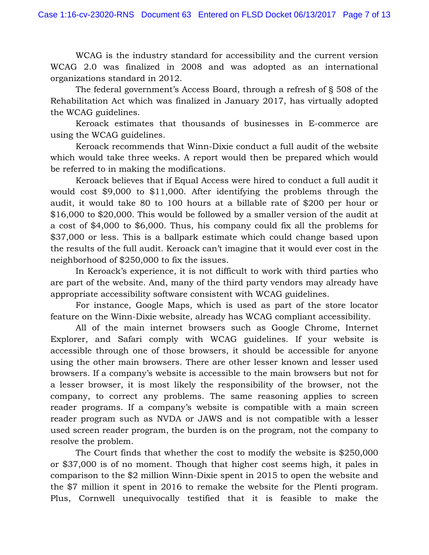WCAG is the industry standard for accessibility and the current version WCAG 2.0 was finalized in 2008 and was adopted as an international organizations standard in 2012.

The federal government's Access Board, through a refresh of § 508 of the Rehabilitation Act which was finalized in January 2017, has virtually adopted the WCAG guidelines.

Keroack estimates that thousands of businesses in E-commerce are using the WCAG guidelines.

Keroack recommends that Winn-Dixie conduct a full audit of the website which would take three weeks. A report would then be prepared which would be referred to in making the modifications.

Keroack believes that if Equal Access were hired to conduct a full audit it would cost \$9,000 to \$11,000. After identifying the problems through the audit, it would take 80 to 100 hours at a billable rate of \$200 per hour or \$16,000 to \$20,000. This would be followed by a smaller version of the audit at a cost of \$4,000 to \$6,000. Thus, his company could fix all the problems for \$37,000 or less. This is a ballpark estimate which could change based upon the results of the full audit. Keroack can't imagine that it would ever cost in the neighborhood of \$250,000 to fix the issues.

In Keroack's experience, it is not difficult to work with third parties who are part of the website. And, many of the third party vendors may already have appropriate accessibility software consistent with WCAG guidelines.

For instance, Google Maps, which is used as part of the store locator feature on the Winn-Dixie website, already has WCAG compliant accessibility.

All of the main internet browsers such as Google Chrome, Internet Explorer, and Safari comply with WCAG guidelines. If your website is accessible through one of those browsers, it should be accessible for anyone using the other main browsers. There are other lesser known and lesser used browsers. If a company's website is accessible to the main browsers but not for a lesser browser, it is most likely the responsibility of the browser, not the company, to correct any problems. The same reasoning applies to screen reader programs. If a company's website is compatible with a main screen reader program such as NVDA or JAWS and is not compatible with a lesser used screen reader program, the burden is on the program, not the company to resolve the problem.

The Court finds that whether the cost to modify the website is \$250,000 or \$37,000 is of no moment. Though that higher cost seems high, it pales in comparison to the \$2 million Winn-Dixie spent in 2015 to open the website and the \$7 million it spent in 2016 to remake the website for the Plenti program. Plus, Cornwell unequivocally testified that it is feasible to make the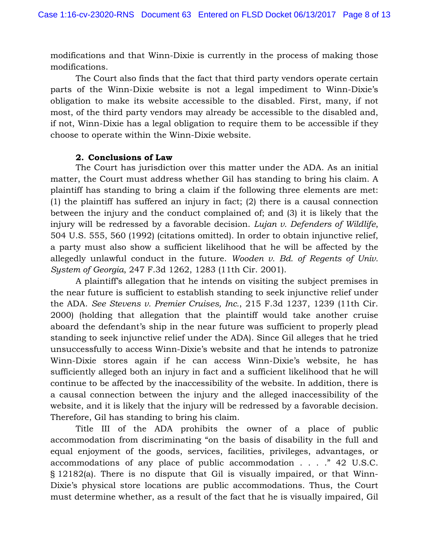modifications and that Winn-Dixie is currently in the process of making those modifications.

The Court also finds that the fact that third party vendors operate certain parts of the Winn-Dixie website is not a legal impediment to Winn-Dixie's obligation to make its website accessible to the disabled. First, many, if not most, of the third party vendors may already be accessible to the disabled and, if not, Winn-Dixie has a legal obligation to require them to be accessible if they choose to operate within the Winn-Dixie website.

### **2. Conclusions of Law**

The Court has jurisdiction over this matter under the ADA. As an initial matter, the Court must address whether Gil has standing to bring his claim. A plaintiff has standing to bring a claim if the following three elements are met: (1) the plaintiff has suffered an injury in fact; (2) there is a causal connection between the injury and the conduct complained of; and (3) it is likely that the injury will be redressed by a favorable decision. *Lujan v. Defenders of Wildlife*, 504 U.S. 555, 560 (1992) (citations omitted). In order to obtain injunctive relief, a party must also show a sufficient likelihood that he will be affected by the allegedly unlawful conduct in the future. *Wooden v. Bd. of Regents of Univ. System of Georgia*, 247 F.3d 1262, 1283 (11th Cir. 2001).

A plaintiff's allegation that he intends on visiting the subject premises in the near future is sufficient to establish standing to seek injunctive relief under the ADA. *See Stevens v. Premier Cruises, Inc.*, 215 F.3d 1237, 1239 (11th Cir. 2000) (holding that allegation that the plaintiff would take another cruise aboard the defendant's ship in the near future was sufficient to properly plead standing to seek injunctive relief under the ADA). Since Gil alleges that he tried unsuccessfully to access Winn-Dixie's website and that he intends to patronize Winn-Dixie stores again if he can access Winn-Dixie's website, he has sufficiently alleged both an injury in fact and a sufficient likelihood that he will continue to be affected by the inaccessibility of the website. In addition, there is a causal connection between the injury and the alleged inaccessibility of the website, and it is likely that the injury will be redressed by a favorable decision. Therefore, Gil has standing to bring his claim.

Title III of the ADA prohibits the owner of a place of public accommodation from discriminating "on the basis of disability in the full and equal enjoyment of the goods, services, facilities, privileges, advantages, or accommodations of any place of public accommodation . . . ." 42 U.S.C. § 12182(a). There is no dispute that Gil is visually impaired, or that Winn-Dixie's physical store locations are public accommodations. Thus, the Court must determine whether, as a result of the fact that he is visually impaired, Gil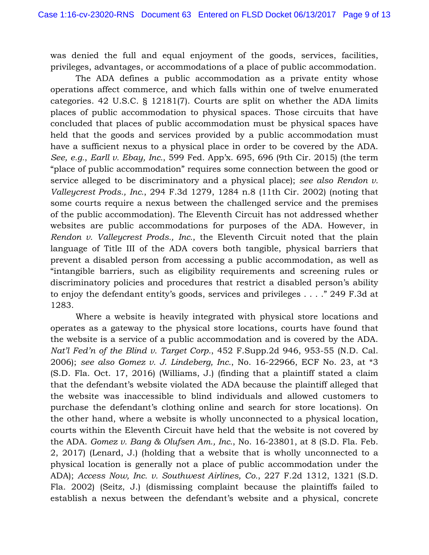was denied the full and equal enjoyment of the goods, services, facilities, privileges, advantages, or accommodations of a place of public accommodation.

The ADA defines a public accommodation as a private entity whose operations affect commerce, and which falls within one of twelve enumerated categories. 42 U.S.C. § 12181(7). Courts are split on whether the ADA limits places of public accommodation to physical spaces. Those circuits that have concluded that places of public accommodation must be physical spaces have held that the goods and services provided by a public accommodation must have a sufficient nexus to a physical place in order to be covered by the ADA. *See, e.g.*, *Earll v. Ebay, Inc.*, 599 Fed. App'x. 695, 696 (9th Cir. 2015) (the term "place of public accommodation" requires some connection between the good or service alleged to be discriminatory and a physical place); *see also Rendon v. Valleycrest Prods., Inc.*, 294 F.3d 1279, 1284 n.8 (11th Cir. 2002) (noting that some courts require a nexus between the challenged service and the premises of the public accommodation). The Eleventh Circuit has not addressed whether websites are public accommodations for purposes of the ADA. However, in *Rendon v. Valleycrest Prods., Inc.*, the Eleventh Circuit noted that the plain language of Title III of the ADA covers both tangible, physical barriers that prevent a disabled person from accessing a public accommodation, as well as "intangible barriers, such as eligibility requirements and screening rules or discriminatory policies and procedures that restrict a disabled person's ability to enjoy the defendant entity's goods, services and privileges . . . ." 249 F.3d at 1283.

Where a website is heavily integrated with physical store locations and operates as a gateway to the physical store locations, courts have found that the website is a service of a public accommodation and is covered by the ADA. *Nat'l Fed'n of the Blind v. Target Corp.*, 452 F.Supp.2d 946, 953-55 (N.D. Cal. 2006); *see also Gomez v. J. Lindeberg, Inc.*, No. 16-22966, ECF No. 23, at \*3 (S.D. Fla. Oct. 17, 2016) (Williams, J.) (finding that a plaintiff stated a claim that the defendant's website violated the ADA because the plaintiff alleged that the website was inaccessible to blind individuals and allowed customers to purchase the defendant's clothing online and search for store locations). On the other hand, where a website is wholly unconnected to a physical location, courts within the Eleventh Circuit have held that the website is not covered by the ADA. *Gomez v. Bang & Olufsen Am., Inc.*, No. 16-23801, at 8 (S.D. Fla. Feb. 2, 2017) (Lenard, J.) (holding that a website that is wholly unconnected to a physical location is generally not a place of public accommodation under the ADA); *Access Now, Inc. v. Southwest Airlines, Co.*, 227 F.2d 1312, 1321 (S.D. Fla. 2002) (Seitz, J.) (dismissing complaint because the plaintiffs failed to establish a nexus between the defendant's website and a physical, concrete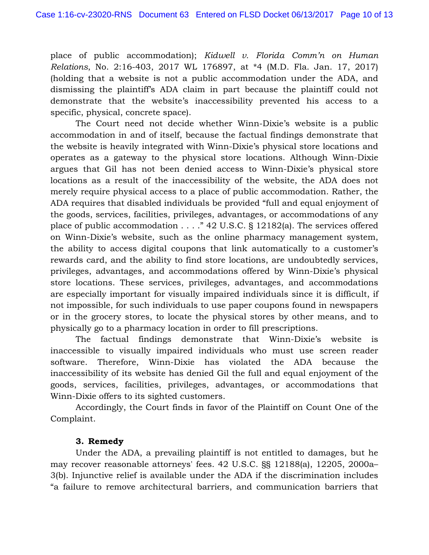place of public accommodation); *Kidwell v. Florida Comm'n on Human Relations*, No. 2:16-403, 2017 WL 176897, at \*4 (M.D. Fla. Jan. 17, 2017) (holding that a website is not a public accommodation under the ADA, and dismissing the plaintiff's ADA claim in part because the plaintiff could not demonstrate that the website's inaccessibility prevented his access to a specific, physical, concrete space).

The Court need not decide whether Winn-Dixie's website is a public accommodation in and of itself, because the factual findings demonstrate that the website is heavily integrated with Winn-Dixie's physical store locations and operates as a gateway to the physical store locations. Although Winn-Dixie argues that Gil has not been denied access to Winn-Dixie's physical store locations as a result of the inaccessibility of the website, the ADA does not merely require physical access to a place of public accommodation. Rather, the ADA requires that disabled individuals be provided "full and equal enjoyment of the goods, services, facilities, privileges, advantages, or accommodations of any place of public accommodation . . . ." 42 U.S.C. § 12182(a). The services offered on Winn-Dixie's website, such as the online pharmacy management system, the ability to access digital coupons that link automatically to a customer's rewards card, and the ability to find store locations, are undoubtedly services, privileges, advantages, and accommodations offered by Winn-Dixie's physical store locations. These services, privileges, advantages, and accommodations are especially important for visually impaired individuals since it is difficult, if not impossible, for such individuals to use paper coupons found in newspapers or in the grocery stores, to locate the physical stores by other means, and to physically go to a pharmacy location in order to fill prescriptions.

The factual findings demonstrate that Winn-Dixie's website is inaccessible to visually impaired individuals who must use screen reader software. Therefore, Winn-Dixie has violated the ADA because the inaccessibility of its website has denied Gil the full and equal enjoyment of the goods, services, facilities, privileges, advantages, or accommodations that Winn-Dixie offers to its sighted customers.

Accordingly, the Court finds in favor of the Plaintiff on Count One of the Complaint.

## **3. Remedy**

Under the ADA, a prevailing plaintiff is not entitled to damages, but he may recover reasonable attorneys' fees. 42 U.S.C. §§ 12188(a), 12205, 2000a– 3(b). Injunctive relief is available under the ADA if the discrimination includes "a failure to remove architectural barriers, and communication barriers that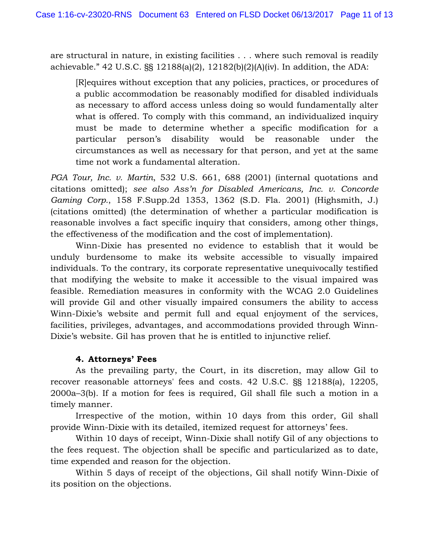are structural in nature, in existing facilities . . . where such removal is readily achievable." 42 U.S.C. §§ 12188(a)(2), 12182(b)(2)(A)(iv). In addition, the ADA:

[R]equires without exception that any policies, practices, or procedures of a public accommodation be reasonably modified for disabled individuals as necessary to afford access unless doing so would fundamentally alter what is offered. To comply with this command, an individualized inquiry must be made to determine whether a specific modification for a particular person's disability would be reasonable under the circumstances as well as necessary for that person, and yet at the same time not work a fundamental alteration.

*PGA Tour, Inc. v. Martin*, 532 U.S. 661, 688 (2001) (internal quotations and citations omitted); *see also Ass'n for Disabled Americans, Inc. v. Concorde Gaming Corp.*, 158 F.Supp.2d 1353, 1362 (S.D. Fla. 2001) (Highsmith, J.) (citations omitted) (the determination of whether a particular modification is reasonable involves a fact specific inquiry that considers, among other things, the effectiveness of the modification and the cost of implementation).

Winn-Dixie has presented no evidence to establish that it would be unduly burdensome to make its website accessible to visually impaired individuals. To the contrary, its corporate representative unequivocally testified that modifying the website to make it accessible to the visual impaired was feasible. Remediation measures in conformity with the WCAG 2.0 Guidelines will provide Gil and other visually impaired consumers the ability to access Winn-Dixie's website and permit full and equal enjoyment of the services, facilities, privileges, advantages, and accommodations provided through Winn-Dixie's website. Gil has proven that he is entitled to injunctive relief.

### **4. Attorneys' Fees**

As the prevailing party, the Court, in its discretion, may allow Gil to recover reasonable attorneys' fees and costs. 42 U.S.C. §§ 12188(a), 12205, 2000a–3(b). If a motion for fees is required, Gil shall file such a motion in a timely manner.

 Irrespective of the motion, within 10 days from this order, Gil shall provide Winn-Dixie with its detailed, itemized request for attorneys' fees.

 Within 10 days of receipt, Winn-Dixie shall notify Gil of any objections to the fees request. The objection shall be specific and particularized as to date, time expended and reason for the objection.

 Within 5 days of receipt of the objections, Gil shall notify Winn-Dixie of its position on the objections.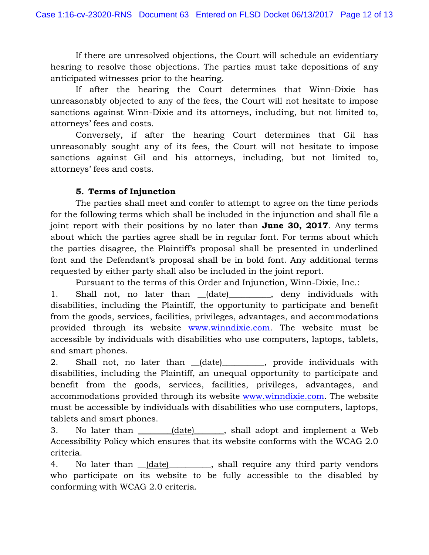If there are unresolved objections, the Court will schedule an evidentiary hearing to resolve those objections. The parties must take depositions of any anticipated witnesses prior to the hearing.

 If after the hearing the Court determines that Winn-Dixie has unreasonably objected to any of the fees, the Court will not hesitate to impose sanctions against Winn-Dixie and its attorneys, including, but not limited to, attorneys' fees and costs.

 Conversely, if after the hearing Court determines that Gil has unreasonably sought any of its fees, the Court will not hesitate to impose sanctions against Gil and his attorneys, including, but not limited to, attorneys' fees and costs.

# **5. Terms of Injunction**

The parties shall meet and confer to attempt to agree on the time periods for the following terms which shall be included in the injunction and shall file a joint report with their positions by no later than **June 30, 2017**. Any terms about which the parties agree shall be in regular font. For terms about which the parties disagree, the Plaintiff's proposal shall be presented in underlined font and the Defendant's proposal shall be in bold font. Any additional terms requested by either party shall also be included in the joint report.

Pursuant to the terms of this Order and Injunction, Winn-Dixie, Inc.:

1. Shall not, no later than (date) \_\_\_\_\_\_, deny individuals with disabilities, including the Plaintiff, the opportunity to participate and benefit from the goods, services, facilities, privileges, advantages, and accommodations provided through its website www.winndixie.com. The website must be accessible by individuals with disabilities who use computers, laptops, tablets, and smart phones.

2. Shall not, no later than (date) \_\_\_\_\_\_\_, provide individuals with disabilities, including the Plaintiff, an unequal opportunity to participate and benefit from the goods, services, facilities, privileges, advantages, and accommodations provided through its website www.winndixie.com. The website must be accessible by individuals with disabilities who use computers, laptops, tablets and smart phones.

3. No later than \_\_\_\_\_\_(date) \_\_\_\_\_, shall adopt and implement a Web Accessibility Policy which ensures that its website conforms with the WCAG 2.0 criteria.

4. No later than <u>(date)</u> shall require any third party vendors who participate on its website to be fully accessible to the disabled by conforming with WCAG 2.0 criteria.